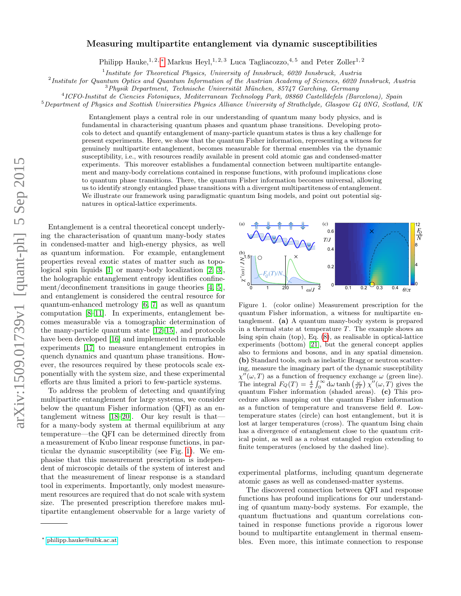# arXiv:1509.01739v1 [quant-ph] 5 Sep 2015 arXiv:1509.01739v1 [quant-ph] 5 Sep 2015

# Measuring multipartite entanglement via dynamic susceptibilities

Philipp Hauke,<sup>1, 2, \*</sup> Markus Heyl,<sup>1, 2, 3</sup> Luca Tagliacozzo,<sup>4, 5</sup> and Peter Zoller<sup>1, 2</sup>

<sup>1</sup>Institute for Theoretical Physics, University of Innsbruck, 6020 Innsbruck, Austria

<sup>2</sup>Institute for Quantum Optics and Quantum Information of the Austrian Academy of Sciences, 6020 Innsbruck, Austria

 $3$ Physik Department, Technische Universität München, 85747 Garching, Germany

4 ICFO-Institut de Ciencies Fotoniques, Mediterranean Technology Park, 08860 Castelldefels (Barcelona), Spain

 $5$ Department of Physics and Scottish Universities Physics Alliance University of Strathclyde, Glasgow G4 0NG, Scotland, UK

Entanglement plays a central role in our understanding of quantum many body physics, and is fundamental in characterising quantum phases and quantum phase transitions. Developing protocols to detect and quantify entanglement of many-particle quantum states is thus a key challenge for present experiments. Here, we show that the quantum Fisher information, representing a witness for genuinely multipartite entanglement, becomes measurable for thermal ensembles via the dynamic susceptibility, i.e., with resources readily available in present cold atomic gas and condensed-matter experiments. This moreover establishes a fundamental connection between multipartite entanglement and many-body correlations contained in response functions, with profound implications close to quantum phase transitions. There, the quantum Fisher information becomes universal, allowing us to identify strongly entangled phase transitions with a divergent multipartiteness of entanglement. We illustrate our framework using paradigmatic quantum Ising models, and point out potential signatures in optical-lattice experiments.

Entanglement is a central theoretical concept underlying the characterisation of quantum many-body states in condensed-matter and high-energy physics, as well as quantum information. For example, entanglement properties reveal exotic states of matter such as topological spin liquids [\[1\]](#page-9-0) or many-body localization [\[2,](#page-9-1) [3\]](#page-9-2), the holographic entanglement entropy identifies confinement/deconfinement transitions in gauge theories [\[4,](#page-9-3) [5\]](#page-9-4), and entanglement is considered the central resource for quantum-enhanced metrology [\[6,](#page-9-5) [7\]](#page-9-6) as well as quantum computation [\[8–](#page-9-7)[11\]](#page-9-8). In experiments, entanglement becomes measurable via a tomographic determination of the many-particle quantum state [\[12](#page-9-9)[–15\]](#page-9-10), and protocols have been developed [\[16\]](#page-9-11) and implemented in remarkable experiments [\[17\]](#page-9-12) to measure entanglement entropies in quench dynamics and quantum phase transitions. However, the resources required by these protocols scale exponentially with the system size, and these experimental efforts are thus limited a priori to few-particle systems.

To address the problem of detecting and quantifying multipartite entanglement for large systems, we consider below the quantum Fisher information (QFI) as an entanglement witness [\[18–](#page-9-13)[20\]](#page-9-14). Our key result is that for a many-body system at thermal equilibrium at any temperature—the QFI can be determined directly from a measurement of Kubo linear response functions, in particular the dynamic susceptibility (see Fig. [1\)](#page-0-1). We emphasise that this measurement prescription is independent of microscopic details of the system of interest and that the measurement of linear response is a standard tool in experiments. Importantly, only modest measurement resources are required that do not scale with system size. The presented prescription therefore makes multipartite entanglement observable for a large variety of



<span id="page-0-1"></span>Figure 1. (color online) Measurement prescription for the quantum Fisher information, a witness for multipartite entanglement. (a) A quantum many-body system is prepared in a thermal state at temperature  $T$ . The example shows an Ising spin chain (top), Eq. [\(8\)](#page-2-0), as realisable in optical-lattice experiments (bottom) [\[21\]](#page-9-15), but the general concept applies also to fermions and bosons, and in any spatial dimension. (b) Standard tools, such as inelastic Bragg or neutron scattering, measure the imaginary part of the dynamic susceptibility  $\chi''(\omega,T)$  as a function of frequency exchange  $\omega$  (green line). The integral  $F_Q(T) = \frac{4}{\pi} \int_0^\infty d\omega \tanh(\frac{\omega}{2T}) \chi''(\omega, T)$  gives the quantum Fisher information (shaded areas). (c) This procedure allows mapping out the quantum Fisher information as a function of temperature and transverse field  $\theta$ . Lowtemperature states (circle) can host entanglement, but it is lost at larger temperatures (cross). The quantum Ising chain has a divergence of entanglement close to the quantum critical point, as well as a robust entangled region extending to finite temperatures (enclosed by the dashed line).

experimental platforms, including quantum degenerate atomic gases as well as condensed-matter systems.

The discovered connection between QFI and response functions has profound implications for our understanding of quantum many-body systems. For example, the quantum fluctuations and quantum correlations contained in response functions provide a rigorous lower bound to multipartite entanglement in thermal ensembles. Even more, this intimate connection to response

<span id="page-0-0"></span><sup>∗</sup> [philipp.hauke@uibk.ac.at](mailto:philipp.hauke@uibk.ac.at)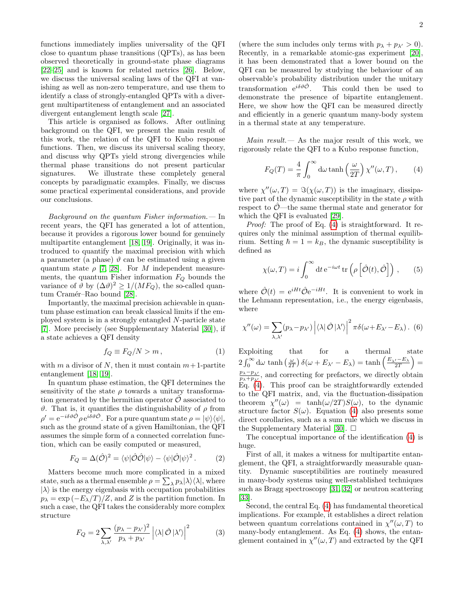functions immediately implies universality of the QFI close to quantum phase transitions (QPTs), as has been observed theoretically in ground-state phase diagrams [\[22–](#page-9-16)[25\]](#page-9-17) and is known for related metrics [\[26\]](#page-9-18). Below, we discuss the universal scaling laws of the QFI at vanishing as well as non-zero temperature, and use them to identify a class of strongly-entangled QPTs with a divergent multipartiteness of entanglement and an associated divergent entanglement length scale [\[27\]](#page-9-19).

This article is organised as follows. After outlining background on the QFI, we present the main result of this work, the relation of the QFI to Kubo response functions. Then, we discuss its universal scaling theory, and discuss why QPTs yield strong divergencies while thermal phase transitions do not present particular signatures. We illustrate these completely general concepts by paradigmatic examples. Finally, we discuss some practical experimental considerations, and provide our conclusions.

Background on the quantum Fisher information.  $\qquad$  In recent years, the QFI has generated a lot of attention, because it provides a rigorous lower bound for genuinely multipartite entanglement [\[18,](#page-9-13) [19\]](#page-9-20). Originally, it was introduced to quantify the maximal precision with which a parameter (a phase)  $\vartheta$  can be estimated using a given quantum state  $\rho$  [\[7,](#page-9-6) [28\]](#page-10-0). For M independent measurements, the quantum Fisher information  $F_Q$  bounds the variance of  $\vartheta$  by  $(\Delta \vartheta)^2 \ge 1/(MF_Q)$ , the so-called quan-tum Cramér–Rao bound [\[28\]](#page-10-0).

Importantly, the maximal precision achievable in quantum phase estimation can break classical limits if the employed system is in a strongly entangled N-particle state [\[7\]](#page-9-6). More precisely (see Supplementary Material [\[30\]](#page-10-1)), if a state achieves a QFI density

<span id="page-1-1"></span>
$$
f_Q \equiv F_Q/N > m \,, \tag{1}
$$

with m a divisor of N, then it must contain  $m+1$ -partite entanglement [\[18,](#page-9-13) [19\]](#page-9-20).

In quantum phase estimation, the QFI determines the sensitivity of the state  $\rho$  towards a unitary transformation generated by the hermitian operator  $\hat{\mathcal{O}}$  associated to  $\vartheta$ . That is, it quantifies the distinguishability of  $\rho$  from  $\rho' = e^{-i\delta\vartheta \hat{\mathcal{O}}}\rho\, e^{i\delta\vartheta \hat{\mathcal{O}}}. \text{ For a pure quantum state } \rho = |\psi\rangle \langle \psi|,$ such as the ground state of a given Hamiltonian, the QFI assumes the simple form of a connected correlation function, which can be easily computed or measured,

<span id="page-1-3"></span>
$$
F_Q = \Delta(\hat{\mathcal{O}})^2 = \langle \psi | \hat{\mathcal{O}} \hat{\mathcal{O}} | \psi \rangle - \langle \psi | \hat{\mathcal{O}} | \psi \rangle^2. \tag{2}
$$

Matters become much more complicated in a mixed state, such as a thermal ensemble  $\rho = \sum_{\lambda} p_{\lambda} |\lambda\rangle \langle \lambda|$ , where  $|\lambda\rangle$  is the energy eigenbasis with occupation probabilities  $p_{\lambda} = \exp(-E_{\lambda}/T)/Z$ , and Z is the partition function. In such a case, the QFI takes the considerably more complex structure

$$
F_Q = 2\sum_{\lambda,\lambda'} \frac{(p_\lambda - p_{\lambda'})^2}{p_\lambda + p_{\lambda'}} \left| \langle \lambda | \hat{O} | \lambda' \rangle \right|^2 \tag{3}
$$

(where the sum includes only terms with  $p_{\lambda} + p_{\lambda'} > 0$ ). Recently, in a remarkable atomic-gas experiment [\[20\]](#page-9-14), it has been demonstrated that a lower bound on the QFI can be measured by studying the behaviour of an observable's probability distribution under the unitary transformation  $e^{i\delta\vartheta\hat{\mathcal{O}}}$ . This could then be used to demonstrate the presence of bipartite entanglement. Here, we show how the QFI can be measured directly and efficiently in a generic quantum many-body system in a thermal state at any temperature.

*Main result.*  $\leftarrow$  As the major result of this work, we rigorously relate the QFI to a Kubo response function,

<span id="page-1-0"></span>
$$
F_Q(T) = \frac{4}{\pi} \int_0^\infty d\omega \tanh\left(\frac{\omega}{2T}\right) \chi''(\omega, T), \qquad (4)
$$

where  $\chi''(\omega,T) = \Im(\chi(\omega,T))$  is the imaginary, dissipative part of the dynamic susceptibility in the state  $\rho$  with respect to  $\mathcal{O}$ —the same thermal state and generator for which the QFI is evaluated [\[29\]](#page-10-2).

Proof: The proof of Eq. [\(4\)](#page-1-0) is straightforward. It requires only the minimal assumption of thermal equilibrium. Setting  $\hbar = 1 = k_B$ , the dynamic susceptibility is defined as

<span id="page-1-2"></span>
$$
\chi(\omega, T) = i \int_0^\infty dt \, e^{-i\omega t} \, tr \left( \rho \left[ \hat{\mathcal{O}}(t), \hat{\mathcal{O}} \right] \right) , \qquad (5)
$$

where  $\hat{\mathcal{O}}(t) = e^{iHt} \hat{\mathcal{O}} e^{-iHt}$ . It is convenient to work in the Lehmann representation, i.e., the energy eigenbasis, where

$$
\chi''(\omega) = \sum_{\lambda,\lambda'} (p_{\lambda} - p_{\lambda'}) \left| \langle \lambda | \hat{\mathcal{O}} | \lambda' \rangle \right|^2 \pi \delta(\omega + E_{\lambda'} - E_{\lambda}). \tag{6}
$$

Exploiting that for a thermal state  $2\int_0^\infty \mathrm{d}\omega \tanh\left(\frac{\omega}{2T}\right) \delta(\omega + E_{\lambda'} - E_{\lambda}) = \tanh\left(\frac{E_{\lambda'} - E_{\lambda}}{2T}\right) =$  $p_{\lambda}-p_{\lambda}$  $\frac{p_{\lambda}-p_{\lambda'}}{p_{\lambda}+p_{\lambda'}}$ , and correcting for prefactors, we directly obtain  $Eq. (4)$  $Eq. (4)$ . This proof can be straightforwardly extended to the QFI matrix, and, via the fluctuation-dissipation theorem  $\chi''(\omega)$  = tanh $(\omega/2T)S(\omega)$ , to the dynamic structure factor  $S(\omega)$ . Equation [\(4\)](#page-1-0) also presents some direct corollaries, such as a sum rule which we discuss in the Supplementary Material [\[30\]](#page-10-1).  $\Box$ 

The conceptual importance of the identification [\(4\)](#page-1-0) is huge.

First of all, it makes a witness for multipartite entanglement, the QFI, a straightforwardly measurable quantity. Dynamic susceptibilities are routinely measured in many-body systems using well-established techniques such as Bragg spectroscopy [\[31,](#page-10-3) [32\]](#page-10-4) or neutron scattering [\[33\]](#page-10-5).

Second, the central Eq. [\(4\)](#page-1-0) has fundamental theoretical implications. For example, it establishes a direct relation between quantum correlations contained in  $\chi''(\omega, T)$  to many-body entanglement. As Eq. [\(4\)](#page-1-0) shows, the entanglement contained in  $\chi''(\omega, T)$  and extracted by the QFI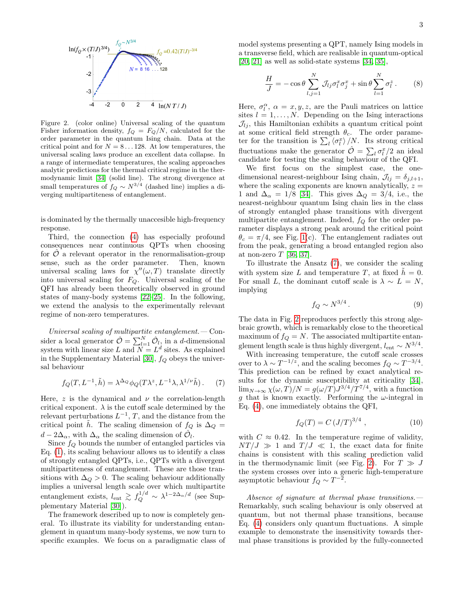

<span id="page-2-2"></span>Figure 2. (color online) Universal scaling of the quantum Fisher information density,  $f_Q = F_Q/N$ , calculated for the order parameter in the quantum Ising chain. Data at the critical point and for  $N = 8...128$ . At low temperatures, the universal scaling laws produce an excellent data collapse. In a range of intermediate temperatures, the scaling approaches analytic predictions for the thermal critical regime in the thermodynamic limit [\[34\]](#page-10-6) (solid line). The strong divergence at small temperatures of  $f_Q \sim N^{3/4}$  (dashed line) implies a diverging multipartiteness of entanglement.

is dominated by the thermally unaccesible high-frequency response.

Third, the connection [\(4\)](#page-1-0) has especially profound consequences near continuous QPTs when choosing for  $\mathcal O$  a relevant operator in the renormalisation-group sense, such as the order parameter. Then, known universal scaling laws for  $\chi''(\omega, T)$  translate directly into universal scaling for  $F_Q$ . Universal scaling of the QFI has already been theoretically observed in ground states of many-body systems [\[22–](#page-9-16)[25\]](#page-9-17). In the following, we extend the analysis to the experimentally relevant regime of non-zero temperatures.

Universal scaling of multipartite entanglement.— Consider a local generator  $\hat{\mathcal{O}} = \sum_{l=1}^{N} \hat{\mathcal{O}}_l$ , in a *d*-dimensional system with linear size L and  $N = L<sup>d</sup>$  sites. As explained in the Supplementary Material [\[30\]](#page-10-1),  $f_Q$  obeys the universal behaviour

<span id="page-2-1"></span>
$$
f_Q(T, L^{-1}, \tilde{h}) = \lambda^{\Delta_Q} \phi_Q(T\lambda^z, L^{-1}\lambda, \lambda^{1/\nu} \tilde{h}).
$$
 (7)

Here, z is the dynamical and  $\nu$  the correlation-length critical exponent.  $\lambda$  is the cutoff scale determined by the relevant perturbations  $L^{-1}$ , T, and the distance from the critical point  $\hat{h}$ . The scaling dimension of  $f_Q$  is  $\Delta_Q =$  $d - 2\Delta_{\alpha}$ , with  $\Delta_{\alpha}$  the scaling dimension of  $\hat{\mathcal{O}}_l$ .

Since  $f_Q$  bounds the number of entangled particles via Eq. [\(1\)](#page-1-1), its scaling behaviour allows us to identify a class of strongly entangled QPTs, i.e., QPTs with a divergent multipartiteness of entanglement. These are those transitions with  $\Delta_Q > 0$ . The scaling behaviour additionally implies a universal length scale over which multipartite entanglement exists,  $l_{\text{ent}} \gtrsim f_Q^{1/d} \sim \lambda^{1-2\Delta_{\alpha}/d}$  (see Supplementary Material [\[30\]](#page-10-1)).

The framework described up to now is completely general. To illustrate its viability for understanding entanglement in quantum many-body systems, we now turn to specific examples. We focus on a paradigmatic class of model systems presenting a QPT, namely Ising models in a transverse field, which are realisable in quantum-optical  $[20, 21]$  $[20, 21]$  as well as solid-state systems  $[34, 35]$  $[34, 35]$ ,

<span id="page-2-0"></span>
$$
\frac{H}{J} = -\cos\theta \sum_{l,j=1}^{N} \mathcal{J}_{lj} \sigma_l^x \sigma_j^x + \sin\theta \sum_{l=1}^{N} \sigma_l^z.
$$
 (8)

Here,  $\sigma_l^{\alpha}$ ,  $\alpha = x, y, z$ , are the Pauli matrices on lattice sites  $l = 1, \ldots, N$ . Depending on the Ising interactions  $\mathcal{J}_{ij}$ , this Hamiltonian exhibits a quantum critical point at some critical field strength  $\theta_c$ . The order parameter for the transition is  $\sum_l \langle \sigma_l^x \rangle/N$ . Its strong critical fluctuations make the generator  $\hat{\mathcal{O}} = \sum_l \sigma_l^x/2$  an ideal candidate for testing the scaling behaviour of the QFI.

We first focus on the simplest case, the onedimensional nearest-neighbour Ising chain,  $\mathcal{J}_{lj} = \delta_{j,l+1}$ , where the scaling exponents are known analytically,  $z =$ 1 and  $\Delta_{\alpha} = 1/8$  [\[34\]](#page-10-6). This gives  $\Delta_{Q} = 3/4$ , i.e., the nearest-neighbour quantum Ising chain lies in the class of strongly entangled phase transitions with divergent multipartite entanglement. Indeed,  $f_{\mathcal{Q}}$  for the order parameter displays a strong peak around the critical point  $\theta_c = \pi/4$ , see Fig. [1\(](#page-0-1)c). The entanglement radiates out from the peak, generating a broad entangled region also at non-zero  $T$  [\[36,](#page-10-8) [37\]](#page-10-9).

To illustrate the Ansatz [\(7\)](#page-2-1), we consider the scaling with system size L and temperature T, at fixed  $\ddot{h} = 0$ . For small L, the dominant cutoff scale is  $\lambda \sim L = N$ , implying

$$
f_Q \sim N^{3/4} \,. \tag{9}
$$

The data in Fig. [2](#page-2-2) reproduces perfectly this strong algebraic growth, which is remarkably close to the theoretical maximum of  $f_Q = N$ . The associated multipartite entanglement length scale is thus highly divergent,  $l_{\text{ent}} \sim N^{3/4}$ .

With increasing temperature, the cutoff scale crosses over to  $\lambda \sim T^{-1/z}$ , and the scaling becomes  $f_Q \sim T^{-3/4}$ . This prediction can be refined by exact analytical results for the dynamic susceptibility at criticality [\[34\]](#page-10-6),  $\lim_{N\to\infty}\chi(\omega,T)/N=g(\omega/T)J^{3/4}/T^{7/4}$ , with a function g that is known exactly. Performing the  $\omega$ -integral in Eq. [\(4\)](#page-1-0), one immediately obtains the QFI,

$$
f_Q(T) = C (J/T)^{3/4} , \t\t(10)
$$

with  $C \approx 0.42$ . In the temperature regime of validity,  $NT/J \gg 1$  and  $T/J \ll 1$ , the exact data for finite chains is consistent with this scaling prediction valid in the thermodynamic limit (see Fig. [2\)](#page-2-2). For  $T \gg J$ the system crosses over into a generic high-temperature asymptotic behaviour  $f_Q \sim T^{-2}$ .

Absence of signature at thermal phase transitions. Remarkably, such scaling behaviour is only observed at quantum, but not thermal phase transitions, because Eq. [\(4\)](#page-1-0) considers only quantum fluctuations. A simple example to demonstrate the insensitivity towards thermal phase transitions is provided by the fully-connected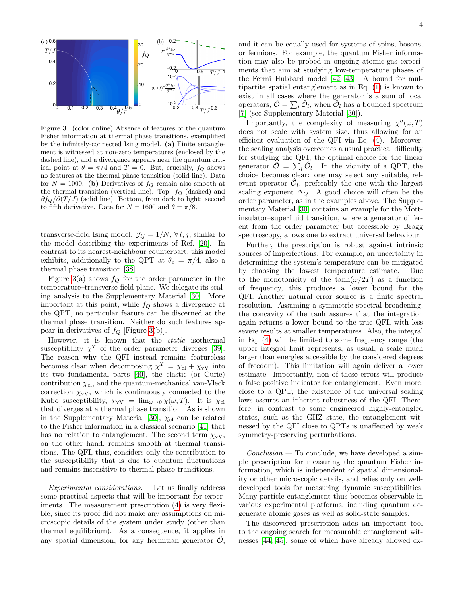

<span id="page-3-0"></span>Figure 3. (color online) Absence of features of the quantum Fisher information at thermal phase transitions, exemplified by the infinitely-connected Ising model. (a) Finite entanglement is witnessed at non-zero temperatures (enclosed by the dashed line), and a divergence appears near the quantum critical point at  $\theta = \pi/4$  and  $T = 0$ . But, crucially,  $f_Q$  shows no features at the thermal phase transition (solid line). Data for  $N = 1000$ . (b) Derivatives of  $f_Q$  remain also smooth at the thermal transition (vertical line). Top:  $f_Q$  (dashed) and  $\partial f_Q/\partial (T/J)$  (solid line). Bottom, from dark to light: second to fifth derivative. Data for  $N = 1600$  and  $\theta = \pi/8$ .

transverse-field Ising model,  $\mathcal{J}_{lj} = 1/N$ ,  $\forall l, j$ , similar to the model describing the experiments of Ref. [\[20\]](#page-9-14). In contrast to its nearest-neighbour counterpart, this model exhibits, additionally to the QPT at  $\theta_c = \pi/4$ , also a thermal phase transition [\[38\]](#page-10-10).

Figure [3\(](#page-3-0)a) shows  $f_Q$  for the order parameter in the temperature–transverse-field plane. We delegate its scaling analysis to the Supplementary Material [\[30\]](#page-10-1). More important at this point, while  $f_Q$  shows a divergence at the QPT, no particular feature can be discerned at the thermal phase transition. Neither do such features appear in derivatives of  $f_Q$  [Figure [3\(](#page-3-0)b)].

However, it is known that the static isothermal susceptibility  $\chi^T$  of the order parameter diverges [\[39\]](#page-10-11). The reason why the QFI instead remains featureless becomes clear when decomposing  $\chi^T = \chi_{\text{el}} + \chi_{\text{vV}}$  into its two fundamental parts [\[40\]](#page-10-12), the elastic (or Curie) contribution  $\chi_{el}$ , and the quantum-mechanical van-Vleck correction  $\chi_{\rm vV}$ , which is continuously connected to the Kubo susceptibility,  $\chi_{vV} = \lim_{\omega \to 0} \chi(\omega, T)$ . It is  $\chi_{\text{el}}$ that diverges at a thermal phase transition. As is shown in the Supplementary Material [\[30\]](#page-10-1),  $\chi_{el}$  can be related to the Fisher information in a classical scenario [\[41\]](#page-10-13) that has no relation to entanglement. The second term  $\chi_{\rm vV}$ , on the other hand, remains smooth at thermal transitions. The QFI, thus, considers only the contribution to the susceptibility that is due to quantum fluctuations and remains insensitive to thermal phase transitions.

Experimental considerations.— Let us finally address some practical aspects that will be important for experiments. The measurement prescription [\(4\)](#page-1-0) is very flexible, since its proof did not make any assumptions on microscopic details of the system under study (other than thermal equilibrium). As a consequence, it applies in any spatial dimension, for any hermitian generator  $\mathcal{O}$ ,

and it can be equally used for systems of spins, bosons, tion may also be probed in ongoing atomic-gas experitipartite spatial entanglement as in Eq.  $(1)$  is known to exist in all cases where the generator is a sum of local or fermions. For example, the quantum Fisher informaments that aim at studying low-temperature phases of the Fermi–Hubbard model [\[42,](#page-10-14) [43\]](#page-10-15). A bound for muloperators,  $\hat{\mathcal{O}} = \sum_{l} \hat{\mathcal{O}}_l$ , when  $\hat{\mathcal{O}}_l$  has a bounded spectrum [\[7\]](#page-9-6) (see Supplementary Material [\[30\]](#page-10-1)).

Importantly, the complexity of measuring  $\chi''(\omega, T)$ does not scale with system size, thus allowing for an efficient evaluation of the QFI via Eq. [\(4\)](#page-1-0). Moreover, the scaling analysis overcomes a usual practical difficulty for studying the QFI, the optimal choice for the linear generator  $\tilde{\mathcal{O}} = \sum_{l} \tilde{\mathcal{O}}_l$ . In the vicinity of a QPT, the choice becomes clear: one may select any suitable, relevant operator  $\hat{\mathcal{O}}_l$ , preferably the one with the largest scaling exponent  $\Delta_Q$ . A good choice will often be the order parameter, as in the examples above. The Supplementary Material [\[30\]](#page-10-1) contains an example for the Mottinsulator–superfluid transition, where a generator different from the order parameter but accessible by Bragg spectroscopy, allows one to extract universal behaviour.

Further, the prescription is robust against intrinsic sources of imperfections. For example, an uncertainty in determining the system's temperature can be mitigated by choosing the lowest temperature estimate. Due to the monotonicity of the  $tanh(\omega/2T)$  as a function of frequency, this produces a lower bound for the QFI. Another natural error source is a finite spectral resolution. Assuming a symmetric spectral broadening, the concavity of the tanh assures that the integration again returns a lower bound to the true QFI, with less severe results at smaller temperatures. Also, the integral in Eq. [\(4\)](#page-1-0) will be limited to some frequency range (the upper integral limit represents, as usual, a scale much larger than energies accessible by the considered degrees of freedom). This limitation will again deliver a lower estimate. Importantly, non of these errors will produce a false positive indicator for entanglement. Even more, close to a QPT, the existence of the universal scaling laws assures an inherent robustness of the QFI. Therefore, in contrast to some engineered highly-entangled states, such as the GHZ state, the entanglement witnessed by the QFI close to QPTs is unaffected by weak symmetry-preserving perturbations.

 $Conclusion. - To conclude, we have developed a sim$ ple prescription for measuring the quantum Fisher information, which is independent of spatial dimensionality or other microscopic details, and relies only on welldeveloped tools for measuring dynamic susceptibilities. Many-particle entanglement thus becomes observable in various experimental platforms, including quantum degenerate atomic gases as well as solid-state samples.

The discovered prescription adds an important tool to the ongoing search for measurable entanglement witnesses [\[44,](#page-10-16) [45\]](#page-10-17), some of which have already allowed ex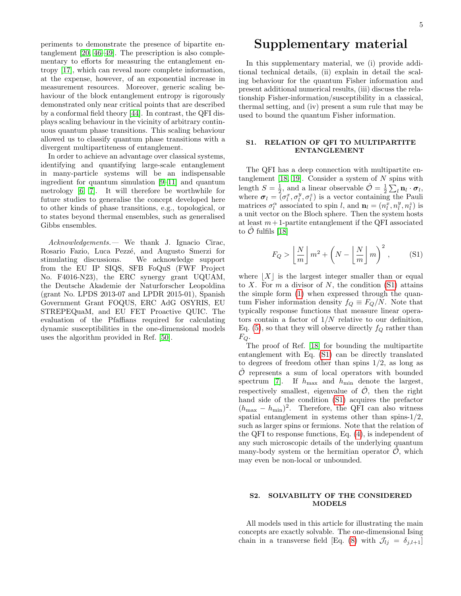periments to demonstrate the presence of bipartite entanglement [\[20,](#page-9-14) [46–](#page-10-18)[49\]](#page-10-19). The prescription is also complementary to efforts for measuring the entanglement entropy [\[17\]](#page-9-12), which can reveal more complete information, at the expense, however, of an exponential increase in measurement resources. Moreover, generic scaling behaviour of the block entanglement entropy is rigorously demonstrated only near critical points that are described by a conformal field theory [\[44\]](#page-10-16). In contrast, the QFI displays scaling behaviour in the vicinity of arbitrary continuous quantum phase transitions. This scaling behaviour allowed us to classify quantum phase transitions with a divergent multipartiteness of entanglement.

In order to achieve an advantage over classical systems, identifying and quantifying large-scale entanglement in many-particle systems will be an indispensable ingredient for quantum simulation [\[9–](#page-9-21)[11\]](#page-9-8) and quantum metrology [\[6,](#page-9-5) [7\]](#page-9-6). It will therefore be worthwhile for future studies to generalise the concept developed here to other kinds of phase transitions, e.g., topological, or to states beyond thermal ensembles, such as generalised Gibbs ensembles.

Acknowledgements.— We thank J. Ignacio Cirac, Rosario Fazio, Luca Pezzé, and Augusto Smerzi for stimulating discussions. We acknowledge support from the EU IP SIQS, SFB FoQuS (FWF Project No. F4016-N23), the ERC synergy grant UQUAM, the Deutsche Akademie der Naturforscher Leopoldina (grant No. LPDS 2013-07 and LPDR 2015-01), Spanish Government Grant FOQUS, ERC AdG OSYRIS, EU STREPEQuaM, and EU FET Proactive QUIC. The evaluation of the Pfaffians required for calculating dynamic susceptibilities in the one-dimensional models uses the algorithm provided in Ref. [\[50\]](#page-10-20).

# Supplementary material

In this supplementary material, we (i) provide additional technical details, (ii) explain in detail the scaling behaviour for the quantum Fisher information and present additional numerical results, (iii) discuss the relationship Fisher-information/susceptibility in a classical, thermal setting, and (iv) present a sum rule that may be used to bound the quantum Fisher information.

# S1. RELATION OF QFI TO MULTIPARTITE ENTANGLEMENT

The QFI has a deep connection with multipartite entanglement  $[18, 19]$  $[18, 19]$ . Consider a system of N spins with length  $S = \frac{1}{2}$ , and a linear observable  $\hat{\mathcal{O}} = \frac{1}{2} \sum_l \mathbf{n}_l \cdot \boldsymbol{\sigma}_l$ , where  $\sigma_l = (\sigma_l^x, \sigma_l^y, \sigma_l^z)$  is a vector containing the Pauli matrices  $\sigma_l^{\alpha}$  associated to spin l, and  $\mathbf{n}_l = (n_l^x, n_l^y, n_l^z)$  is a unit vector on the Bloch sphere. Then the system hosts at least  $m+1$ -partite entanglement if the QFI associated to  $\hat{\mathcal{O}}$  fulfils [\[18\]](#page-9-13)

<span id="page-4-0"></span>
$$
F_Q > \left\lfloor \frac{N}{m} \right\rfloor m^2 + \left( N - \left\lfloor \frac{N}{m} \right\rfloor m \right)^2, \quad (S1)
$$

where  $|X|$  is the largest integer smaller than or equal to X. For  $m$  a divisor of  $N$ , the condition  $(S1)$  attains the simple form [\(1\)](#page-1-1) when expressed through the quantum Fisher information density  $f_Q \equiv F_Q/N$ . Note that typically response functions that measure linear operators contain a factor of  $1/N$  relative to our definition, Eq. [\(5\)](#page-1-2), so that they will observe directly  $f_Q$  rather than  $F_Q$ .

The proof of Ref. [\[18\]](#page-9-13) for bounding the multipartite entanglement with Eq. [\(S1\)](#page-4-0) can be directly translated to degrees of freedom other than spins 1/2, as long as  $\hat{\mathcal{O}}$  represents a sum of local operators with bounded spectrum [\[7\]](#page-9-6). If  $h_{\text{max}}$  and  $h_{\text{min}}$  denote the largest, respectively smallest, eigenvalue of  $\hat{\mathcal{O}}$ , then the right hand side of the condition [\(S1\)](#page-4-0) acquires the prefactor  $(h_{\text{max}} - h_{\text{min}})^2$ . Therefore, the QFI can also witness spatial entanglement in systems other than spins-1/2, such as larger spins or fermions. Note that the relation of the QFI to response functions, Eq. [\(4\)](#page-1-0), is independent of any such microscopic details of the underlying quantum many-body system or the hermitian operator  $\hat{\mathcal{O}}$ , which may even be non-local or unbounded.

# S2. SOLVABILITY OF THE CONSIDERED MODELS

All models used in this article for illustrating the main concepts are exactly solvable. The one-dimensional Ising chain in a transverse field [Eq. [\(8\)](#page-2-0) with  $\mathcal{J}_{lj} = \delta_{j,l+1}$ ]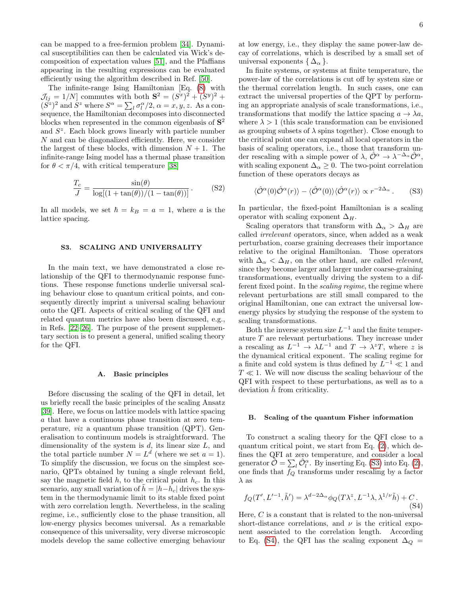can be mapped to a free-fermion problem [\[34\]](#page-10-6). Dynamical susceptibilities can then be calculated via Wick's decomposition of expectation values [\[51\]](#page-10-21), and the Pfaffians appearing in the resulting expressions can be evaluated efficiently using the algorithm described in Ref. [\[50\]](#page-10-20).

The infinite-range Ising Hamiltonian [Eq. [\(8\)](#page-2-0) with  $\mathcal{J}_{lj} = 1/N$  commutes with both  $S^2 = (S^x)^2 + (S^y)^2 +$  $(S^z)^2$  and  $S^z$  where  $S^{\alpha} = \sum_l \sigma_l^{\alpha}/2$ ,  $\alpha = x, y, z$ . As a consequence, the Hamiltonian decomposes into disconnected blocks when represented in the common eigenbasis of  $S^2$ and  $S<sup>z</sup>$ . Each block grows linearly with particle number N and can be diagonalized efficiently. Here, we consider the largest of these blocks, with dimension  $N + 1$ . The infinite-range Ising model has a thermal phase transition for  $\theta < \pi/4$ , with critical temperature [\[38\]](#page-10-10)

$$
\frac{T_c}{J} = \frac{\sin(\theta)}{\log[(1 + \tan(\theta))/(1 - \tan(\theta))]}.
$$
 (S2)

In all models, we set  $\hbar = k_B = a = 1$ , where a is the lattice spacing.

# S3. SCALING AND UNIVERSALITY

In the main text, we have demonstrated a close relationship of the QFI to thermodynamic response functions. These response functions underlie universal scaling behaviour close to quantum critical points, and consequently directly imprint a universal scaling behaviour onto the QFI. Aspects of critical scaling of the QFI and related quantum metrics have also been discussed, e.g., in Refs. [\[22](#page-9-16)[–26\]](#page-9-18). The purpose of the present supplementary section is to present a general, unified scaling theory for the QFI.

#### A. Basic principles

Before discussing the scaling of the QFI in detail, let us briefly recall the basic principles of the scaling Ansatz [\[39\]](#page-10-11). Here, we focus on lattice models with lattice spacing a that have a continuous phase transition at zero temperature, viz a quantum phase transition (QPT). Generalisation to continuum models is straightforward. The dimensionality of the system is  $d$ , its linear size  $L$ , and the total particle number  $N = L<sup>d</sup>$  (where we set  $a = 1$ ). To simplify the discussion, we focus on the simplest scenario, QPTs obtained by tuning a single relevant field, say the magnetic field  $h$ , to the critical point  $h_c$ . In this scenario, any small variation of  $\tilde{h} = |h-h_c|$  drives the system in the thermodynamic limit to its stable fixed point with zero correlation length. Nevertheless, in the scaling regime, i.e., sufficiently close to the phase transition, all low-energy physics becomes universal. As a remarkable consequence of this universality, very diverse microscopic models develop the same collective emerging behaviour

at low energy, i.e., they display the same power-law decay of correlations, which is described by a small set of universal exponents  $\{\Delta_{\alpha}\}.$ 

In finite systems, or systems at finite temperature, the power-law of the correlations is cut off by system size or the thermal correlation length. In such cases, one can extract the universal properties of the QPT by performing an appropriate analysis of scale transformations, i.e., transformations that modify the lattice spacing  $a \to \lambda a$ , where  $\lambda > 1$  (this scale transformation can be envisioned as grouping subsets of  $\lambda$  spins together). Close enough to the critical point one can expand all local operators in the basis of scaling operators, i.e., those that transform under rescaling with a simple power of  $\lambda$ ,  $\hat{\mathcal{O}}^{\alpha} \to \lambda^{-\Delta_{\alpha}} \hat{\mathcal{O}}^{\alpha}$ , with scaling exponent  $\Delta_{\alpha} \geq 0$ . The two-point correlation function of these operators decays as

<span id="page-5-0"></span>
$$
\langle \hat{\mathcal{O}}^{\alpha}(0)\hat{\mathcal{O}}^{\alpha}(r)\rangle - \langle \hat{\mathcal{O}}^{\alpha}(0)\rangle \langle \hat{\mathcal{O}}^{\alpha}(r)\rangle \propto r^{-2\Delta_{\alpha}}.
$$
 (S3)

In particular, the fixed-point Hamiltonian is a scaling operator with scaling exponent  $\Delta_H$ .

Scaling operators that transform with  $\Delta_{\alpha} > \Delta_H$  are called irrelevant operators, since, when added as a weak perturbation, coarse graining decreases their importance relative to the original Hamiltonian. Those operators with  $\Delta_{\alpha} < \Delta_H$ , on the other hand, are called *relevant*, since they become larger and larger under coarse-graining transformations, eventually driving the system to a different fixed point. In the scaling regime, the regime where relevant perturbations are still small compared to the original Hamiltonian, one can extract the universal lowenergy physics by studying the response of the system to scaling transformations.

Both the inverse system size  $L^{-1}$  and the finite temperature  $T$  are relevant perturbations. They increase under a rescaling as  $L^{-1} \to \lambda L^{-1}$  and  $T \to \lambda^z T$ , where z is the dynamical critical exponent. The scaling regime for a finite and cold system is thus defined by  $L^{-1} \ll 1$  and  $T \ll 1$ . We will now discuss the scaling behaviour of the QFI with respect to these perturbations, as well as to a deviation  $h$  from criticality.

## B. Scaling of the quantum Fisher information

To construct a scaling theory for the QFI close to a quantum critical point, we start from Eq. [\(2\)](#page-1-3), which defines the QFI at zero temperature, and consider a local generator  $\hat{\mathcal{O}} = \sum_{l} \hat{\mathcal{O}}_l^{\alpha}$ . By inserting Eq. [\(S3\)](#page-5-0) into Eq. [\(2\)](#page-1-3), one finds that  $f_Q$  transforms under rescaling by a factor  $\lambda$  as

<span id="page-5-1"></span>
$$
f_Q(T', L'^{-1}, \tilde{h}') = \lambda^{d-2\Delta_\alpha} \phi_Q(T\lambda^z, L^{-1}\lambda, \lambda^{1/\nu} \tilde{h}) + C.
$$
\n(S4)

Here,  $C$  is a constant that is related to the non-universal short-distance correlations, and  $\nu$  is the critical exponent associated to the correlation length. According to Eq. [\(S4\)](#page-5-1), the QFI has the scaling exponent  $\Delta_Q =$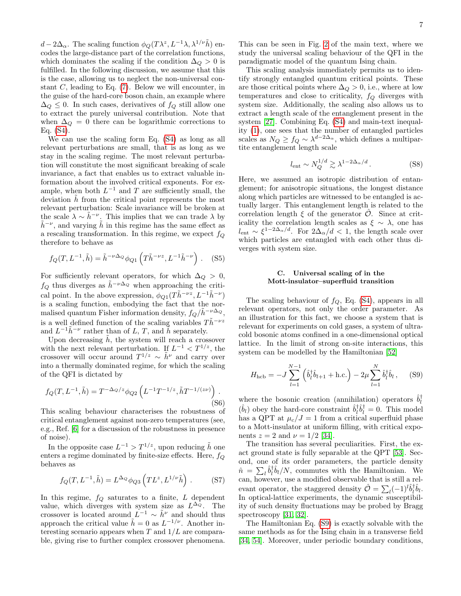$d - 2\Delta_{\alpha}$ . The scaling function  $\phi_Q(T\lambda^z, L^{-1}\lambda, \lambda^{1/\nu}h)$  encodes the large-distance part of the correlation functions, which dominates the scaling if the condition  $\Delta_Q > 0$  is fulfilled. In the following discussion, we assume that this is the case, allowing us to neglect the non-universal constant  $C$ , leading to Eq.  $(7)$ . Below we will encounter, in the guise of the hard-core boson chain, an example where  $\Delta_Q \leq 0$ . In such cases, derivatives of  $f_Q$  still allow one to extract the purely universal contribution. Note that when  $\Delta_{\mathcal{Q}} = 0$  there can be logarithmic corrections to Eq. [\(S4\)](#page-5-1).

We can use the scaling form Eq. [\(S4\)](#page-5-1) as long as all relevant perturbations are small, that is as long as we stay in the scaling regime. The most relevant perturbation will constitute the most significant breaking of scale invariance, a fact that enables us to extract valuable information about the involved critical exponents. For example, when both  $L^{-1}$  and T are sufficiently small, the deviation  $\hat{h}$  from the critical point represents the most relevant perturbation: Scale invariance will be broken at the scale  $\lambda \sim \tilde{h}^{-\nu}$ . This implies that we can trade  $\lambda$  by  $\tilde{h}^{-\nu}$ , and varying  $\tilde{h}$  in this regime has the same effect as a rescaling transformation. In this regime, we expect  $f_Q$ therefore to behave as

<span id="page-6-1"></span>
$$
f_Q(T, L^{-1}, \tilde{h}) = \tilde{h}^{-\nu \Delta_Q} \phi_{Q1} \left( T \tilde{h}^{-\nu z}, L^{-1} \tilde{h}^{-\nu} \right). \tag{S5}
$$

For sufficiently relevant operators, for which  $\Delta_Q > 0$ ,  $f_Q$  thus diverges as  $\tilde{h}^{-\nu \Delta_Q}$  when approaching the critical point. In the above expression,  $\phi_{Q1}(T\tilde{h}^{-\nu z}, L^{-1}\tilde{h}^{-\nu})$ is a scaling function, embodying the fact that the normalised quantum Fisher information density,  $f_Q/h^{-\nu\Delta_Q}$ , is a well defined function of the scaling variables  $T\tilde{h}^{-\nu z}$ and  $L^{-1}\tilde{h}^{-\nu}$  rather than of L, T, and  $\tilde{h}$  separately.

Upon decreasing  $\hat{h}$ , the system will reach a crossover with the next relevant perturbation. If  $L^{-1} < T^{1/z}$ , the crossover will occur around  $T^{1/z} \sim \tilde{h}^{\nu}$  and carry over into a thermally dominated regime, for which the scaling of the QFI is dictated by

<span id="page-6-2"></span>
$$
f_Q(T, L^{-1}, \tilde{h}) = T^{-\Delta_Q/z} \phi_{Q2} \left( L^{-1} T^{-1/z}, \tilde{h} T^{-1/(z\nu)} \right).
$$
\n(S6)

This scaling behaviour characterises the robustness of critical entanglement against non-zero temperatures (see, e.g., Ref. [\[6\]](#page-9-5) for a discussion of the robustness in presence of noise).

In the opposite case  $L^{-1} > T^{1/z}$ , upon reducing  $\tilde{h}$  one enters a regime dominated by finite-size effects. Here,  $f_Q$ behaves as

$$
f_Q(T, L^{-1}, \tilde{h}) = L^{\Delta_Q} \phi_{Q3} \left( T L^z, L^{1/\nu} \tilde{h} \right) . \tag{S7}
$$

In this regime,  $f_Q$  saturates to a finite,  $L$  dependent value, which diverges with system size as  $L^{\Delta_Q}$ . The crossover is located around  $L^{-1} \sim \tilde{h}^{\nu}$  and should thus approach the critical value  $\tilde{h} = 0$  as  $L^{-1/\nu}$ . Another interesting scenario appears when  $T$  and  $1/L$  are comparable, giving rise to further complex crossover phenomena.

This can be seen in Fig. [2](#page-2-2) of the main text, where we study the universal scaling behaviour of the QFI in the paradigmatic model of the quantum Ising chain.

This scaling analysis immediately permits us to identify strongly entangled quantum critical points. These are those critical points where  $\Delta_Q > 0$ , i.e., where at low temperatures and close to criticality,  $f_Q$  diverges with system size. Additionally, the scaling also allows us to extract a length scale of the entanglement present in the system [\[27\]](#page-9-19). Combining Eq. [\(S4\)](#page-5-1) and main-text inequality [\(1\)](#page-1-1), one sees that the number of entangled particles scales as  $N_Q \ge f_Q \sim \lambda^{d-2\Delta_{\alpha}}$ , which defines a multipartite entanglement length scale

$$
l_{\text{ent}} \sim N_Q^{1/d} \gtrsim \lambda^{1-2\Delta_\alpha/d} \,. \tag{S8}
$$

Here, we assumed an isotropic distribution of entanglement; for anisotropic situations, the longest distance along which particles are witnessed to be entangled is actually larger. This entanglement length is related to the correlation length  $\xi$  of the generator  $\ddot{\mathcal{O}}$ . Since at criticality the correlation length scales as  $\xi \sim \lambda$ , one has  $l_{\text{ent}} \sim \xi^{1-2\Delta_{\alpha}/d}$ . For  $2\Delta_{\alpha}/d < 1$ , the length scale over which particles are entangled with each other thus diverges with system size.

# C. Universal scaling of in the Mott-insulator–superfluid transition

The scaling behaviour of  $f_Q$ , Eq. [\(S4\)](#page-5-1), appears in all relevant operators, not only the order parameter. As an illustration for this fact, we choose a system that is relevant for experiments on cold gases, a system of ultracold bosonic atoms confined in a one-dimensional optical lattice. In the limit of strong on-site interactions, this system can be modelled by the Hamiltonian [\[52\]](#page-10-22)

<span id="page-6-0"></span>
$$
H_{\text{hcb}} = -J \sum_{l=1}^{N-1} (\hat{b}_l^{\dagger} \hat{b}_{l+1} + \text{h.c.}) - 2\mu \sum_{l=1}^{N} \hat{b}_l^{\dagger} \hat{b}_l, \quad (S9)
$$

where the bosonic creation (annihilation) operators  $\hat{b}_l^{\dagger}$ l  $(\hat{b}_l)$  obey the hard-core constraint  $\hat{b}_l^{\dagger}$  $\iota_l^{\dagger} \hat{b}_l^{\dagger} = 0$ . This model has a QPT at  $\mu_c/J = 1$  from a critical superfluid phase to a Mott-insulator at uniform filling, with critical exponents  $z = 2$  and  $\nu = 1/2$  [\[34\]](#page-10-6).

The transition has several peculiarities. First, the exact ground state is fully separable at the QPT [\[53\]](#page-10-23). Second, one of its order parameters, the particle density  $\hat{n}~=~\sum_{l}\hat{b}^{\dagger}_{l}$  $\int_{l}^{\dagger} \hat{b}_l/N$ , commutes with the Hamiltonian. We can, however, use a modified observable that is still a relevant operator, the staggered density  $\hat{\mathcal{O}} = \sum_{l} (-1)^l \hat{b}_l^{\dagger}$  ${}^{\dagger}_{l}\hat{b}_{l}.$ In optical-lattice experiments, the dynamic susceptibility of such density fluctuations may be probed by Bragg spectroscopy [\[31,](#page-10-3) [32\]](#page-10-4).

The Hamiltonian Eq. [\(S9\)](#page-6-0) is exactly solvable with the same methods as for the Ising chain in a transverse field [\[34,](#page-10-6) [54\]](#page-10-24). Moreover, under periodic boundary conditions,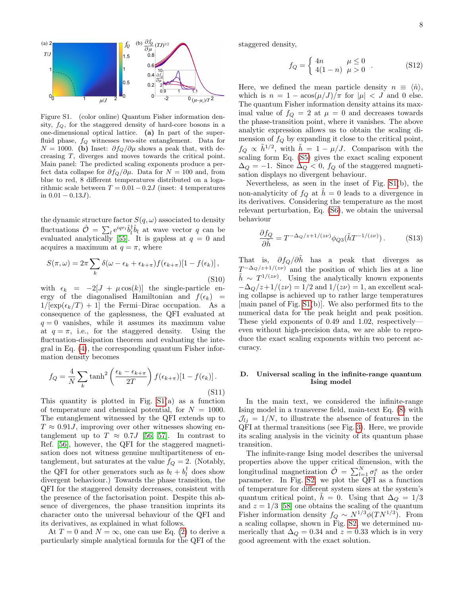

Figure S1. (color online) Quantum Fisher information density,  $f_Q$ , for the staggered density of hard-core bosons in a one-dimensional optical lattice. (a) In part of the superfluid phase,  $f_Q$  witnesses two-site entanglement. Data for  $N = 1000$ . (b) Inset:  $\partial f_Q / \partial \mu$  shows a peak that, with decreasing T, diverges and moves towards the critical point. Main panel: The predicted scaling exponents produce a perfect data collapse for  $\partial f_Q/\partial \mu$ . Data for  $N = 100$  and, from blue to red, 8 different temperatures distributed on a logarithmic scale between  $T = 0.01 - 0.2J$  (inset: 4 temperatures in  $0.01 - 0.13J$ ).

the dynamic structure factor  $S(q,\omega)$  associated to density fluctuations  $\hat{\mathcal{O}} = \sum_{l} e^{i q r_l} \hat{b}_l^{\dagger}$  $\hat{i}_{l}$  at wave vector q can be evaluated analytically [\[55\]](#page-10-25). It is gapless at  $q = 0$  and acquires a maximum at  $q = \pi$ , where

$$
S(\pi,\omega) = 2\pi \sum_{k} \delta(\omega - \epsilon_{k} + \epsilon_{k+\pi}) f(\epsilon_{k+\pi}) [1 - f(\epsilon_{k})],
$$
\n
$$
(S10)
$$

with  $\epsilon_k = -2[J + \mu \cos(k)]$  the single-particle energy of the diagonalised Hamiltonian and  $f(\epsilon_k)$  =  $1/[\exp(\epsilon_k/T) + 1]$  the Fermi–Dirac occupation. As a consequence of the gaplessness, the QFI evaluated at  $q = 0$  vanishes, while it assumes its maximum value at  $q = \pi$ , i.e., for the staggered density. Using the fluctuation-dissipation theorem and evaluating the integral in Eq. [\(4\)](#page-1-0), the corresponding quantum Fisher information density becomes

$$
f_Q = \frac{4}{N} \sum_{k} \tanh^2 \left( \frac{\epsilon_k - \epsilon_{k+\pi}}{2T} \right) f(\epsilon_{k+\pi}) [1 - f(\epsilon_k)].
$$
\n(S11)

This quantity is plotted in Fig.  $S1(a)$  as a function of temperature and chemical potential, for  $N = 1000$ . The entanglement witnessed by the QFI extends up to  $T \approx 0.91J$ , improving over other witnesses showing entanglement up to  $T \approx 0.7J$  [\[56,](#page-10-26) [57\]](#page-10-27). In contrast to Ref. [\[56\]](#page-10-26), however, the QFI for the staggered magnetisation does not witness genuine multipartiteness of entanglement, but saturates at the value  $f_Q = 2$ . (Notably, the QFI for other generators such as  $b_l + b_l^{\dagger}$  $\iota_l^{\dagger}$  does show divergent behaviour.) Towards the phase transition, the QFI for the staggered density decreases, consistent with the presence of the factorisation point. Despite this absence of divergences, the phase transition imprints its character onto the universal behaviour of the QFI and its derivatives, as explained in what follows.

At  $T = 0$  and  $N = \infty$ , one can use Eq. [\(2\)](#page-1-3) to derive a particularly simple analytical formula for the QFI of the staggered density,

$$
f_Q = \begin{cases} 4n & \mu \le 0 \\ 4(1-n) & \mu > 0 \end{cases}
$$
 (S12)

Here, we defined the mean particle density  $n \equiv \langle \hat{n} \rangle$ , which is  $n = 1 - \arccos(\mu/J)/\pi$  for  $|\mu| < J$  and 0 else. The quantum Fisher information density attains its maximal value of  $f_Q = 2$  at  $\mu = 0$  and decreases towards the phase-transition point, where it vanishes. The above analytic expression allows us to obtain the scaling dimension of  $f_Q$  by expanding it close to the critical point,  $f_Q \propto \tilde{h}^{1/2}$ , with  $\tilde{h} = 1 - \mu/J$ . Comparison with the scaling form Eq. [\(S5\)](#page-6-1) gives the exact scaling exponent  $\Delta_Q = -1$ . Since  $\Delta_Q < 0$ ,  $f_Q$  of the staggered magnetisation displays no divergent behaviour.

Nevertheless, as seen in the inset of Fig. [S1\(](#page-0-1)b), the non-analyticity of  $f_Q$  at  $\tilde{h} = 0$  leads to a divergence in its derivatives. Considering the temperature as the most relevant perturbation, Eq. [\(S6\)](#page-6-2), we obtain the universal behaviour

$$
\frac{\partial f_Q}{\partial \tilde{h}} = T^{-\Delta_Q/z + 1/(z\nu)} \phi_{Q3}(\tilde{h}T^{-1/(z\nu)}). \tag{S13}
$$

That is,  $\partial f_Q / \partial \tilde{h}$  has a peak that diverges as  $T^{-\Delta_Q/z+1/(z\nu)}$  and the position of which lies at a line  $\tilde{h} \sim T^{1/(z\nu)}$ . Using the analytically known exponents  $-\Delta_{Q}/z+1/(z\nu)=1/2$  and  $1/(z\nu)=1$ , an excellent scaling collapse is achieved up to rather large temperatures [main panel of Fig. [S1\(](#page-0-1)b)]. We also performed fits to the numerical data for the peak height and peak position. These yield exponents of 0.49 and 1.02, respectively even without high-precision data, we are able to reproduce the exact scaling exponents within two percent accuracy.

# D. Universal scaling in the infinite-range quantum Ising model

In the main text, we considered the infinite-range Ising model in a transverse field, main-text Eq. [\(8\)](#page-2-0) with  $\mathcal{J}_{li} = 1/N$ , to illustrate the absence of features in the QFI at thermal transitions (see Fig. [3\)](#page-3-0). Here, we provide its scaling analysis in the vicinity of its quantum phase transition.

The infinite-range Ising model describes the universal properties above the upper critical dimension, with the longitudinal magnetization  $\hat{\mathcal{O}} = \sum_{l=1}^{N} \sigma_l^x$  as the order parameter. In Fig. [S2,](#page-2-2) we plot the QFI as a function of temperature for different system sizes at the system's quantum critical point,  $h = 0$ . Using that  $\Delta_Q = 1/3$ and  $z = 1/3$  [\[58\]](#page-10-28) one obtains the scaling of the quantum Fisher information density  $f_Q \sim N^{1/3} \phi(T N^{1/3})$ . From a scaling collapse, shown in Fig. [S2,](#page-2-2) we determined numerically that  $\Delta_{\mathcal{Q}} = 0.34$  and  $z = 0.33$  which is in very good agreement with the exact solution.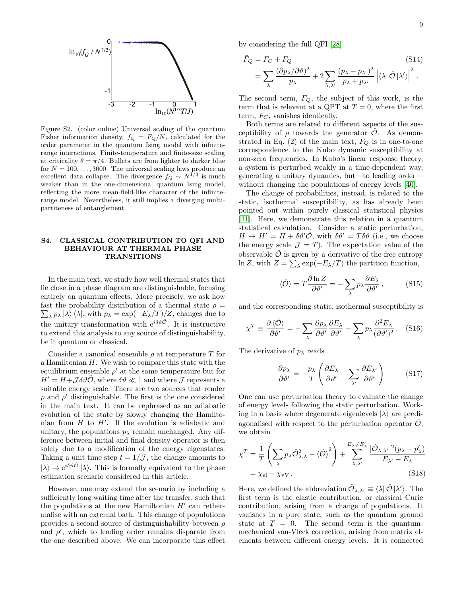

Figure S2. (color online) Universal scaling of the quantum Fisher information density,  $f_Q = F_Q/N$ , calculated for the order parameter in the quantum Ising model with infiniterange interactions. Finite-temperature and finite-size scaling at criticality  $\theta = \pi/4$ . Bullets are from lighter to darker blue for  $N = 100, \ldots, 3000$ . The universal scaling laws produce an excellent data collapse. The divergence  $f_Q \sim N^{1/3}$  is much weaker than in the one-dimensional quantum Ising model, reflecting the more mean-field-like character of the infiniterange model. Nevertheless, it still implies a diverging multipartiteness of entanglement.

## S4. CLASSICAL CONTRIBUTION TO QFI AND BEHAVIOUR AT THERMAL PHASE **TRANSITIONS**

In the main text, we study how well thermal states that lie close in a phase diagram are distinguishable, focusing entirely on quantum effects. More precisely, we ask how  $\sum_{\lambda} p_{\lambda} |\lambda\rangle \langle \lambda|$ , with  $p_{\lambda} = \exp(-E_{\lambda}/T)/Z$ , changes due to fast the probability distribution of a thermal state  $\rho =$ the unitary transformation with  $e^{i\delta\vartheta\hat{\mathcal{O}}}.$  It is instructive to extend this analysis to any source of distinguishability, be it quantum or classical.

Consider a canonical ensemble  $\rho$  at temperature T for a Hamiltonian H. We wish to compare this state with the equilibrium ensemble  $\rho'$  at the same temperature but for  $H' = H + \mathcal{J} \delta \vartheta \hat{\mathcal{O}}$ , where  $\delta \vartheta \ll 1$  and where  $\mathcal{J}$  represents a suitable energy scale. There are two sources that render  $\rho$  and  $\rho'$  distinguishable. The first is the one considered in the main text. It can be rephrased as an adiabatic evolution of the state by slowly changing the Hamiltonian from  $H$  to  $H'$ . If the evolution is adiabatic and unitary, the populations  $p_{\lambda}$  remain unchanged. Any difference between initial and final density operator is then solely due to a modification of the energy eigenstates. Taking a unit time step  $t = 1/\mathcal{J}$ , the change amounts to  $|\lambda\rangle \rightarrow e^{i\delta\vartheta \hat{\mathcal{O}}} |\lambda\rangle$ . This is formally equivalent to the phase estimation scenario considered in this article.

However, one may extend the scenario by including a sufficiently long waiting time after the transfer, such that the populations at the new Hamiltonian  $H'$  can rethermalise with an external bath. This change of populations provides a second source of distinguishability between  $\rho$ and  $\rho'$ , which to leading order remains disparate from the one described above. We can incorporate this effect

by considering the full QFI [\[28\]](#page-10-0)

$$
\tilde{F}_Q = F_C + F_Q \tag{S14}
$$
\n
$$
= \sum_{\lambda} \frac{(\partial p_{\lambda}/\partial \vartheta)^2}{p_{\lambda}} + 2 \sum_{\lambda, \lambda'} \frac{(p_{\lambda} - p_{\lambda'})^2}{p_{\lambda} + p_{\lambda'}} \left| \langle \lambda | \hat{O} | \lambda' \rangle \right|^2.
$$

The second term,  $F_Q$ , the subject of this work, is the term that is relevant at a QPT at  $T = 0$ , where the first term,  $F_C$ , vanishes identically.

Both terms are related to different aspects of the susceptibility of  $\rho$  towards the generator  $\mathcal{O}$ . As demonstrated in Eq.  $(2)$  of the main text,  $F_Q$  is in one-to-one correspondence to the Kubo dynamic susceptibility at non-zero frequencies. In Kubo's linear response theory, a system is perturbed weakly in a time-dependent way, generating a unitary dynamics, but—to leading order without changing the populations of energy levels [\[40\]](#page-10-12).

The change of probabilities, instead, is related to the static, isothermal susceptibility, as has already been pointed out within purely classical statistical physics [\[41\]](#page-10-13). Here, we demonstrate this relation in a quantum statistical calculation. Consider a static perturbation,  $H \to H' = H + \delta \vartheta' \mathcal{O}$ , with  $\delta \vartheta' = T \delta \vartheta$  (i.e., we choose the energy scale  $\mathcal{J} = T$ . The expectation value of the observable  $\hat{\mathcal{O}}$  is given by a derivative of the free entropy ln Z, with  $Z = \sum_{\lambda} \exp(-E_{\lambda}/T)$  the partition function,

$$
\langle \hat{\mathcal{O}} \rangle = T \frac{\partial \ln Z}{\partial \vartheta'} = -\sum_{\lambda} p_{\lambda} \frac{\partial E_{\lambda}}{\partial \vartheta'}, \quad (S15)
$$

and the corresponding static, isothermal susceptibility is

$$
\chi^T \equiv \frac{\partial \langle \hat{\mathcal{O}} \rangle}{\partial \vartheta'} = -\sum_{\lambda} \frac{\partial p_{\lambda}}{\partial \vartheta'} \frac{\partial E_{\lambda}}{\partial \vartheta'} - \sum_{\lambda} p_{\lambda} \frac{\partial^2 E_{\lambda}}{(\partial \vartheta')^2} . \quad (S16)
$$

The derivative of  $p_{\lambda}$  reads

<span id="page-8-0"></span>
$$
\frac{\partial p_{\lambda}}{\partial \vartheta'} = -\frac{p_{\lambda}}{T} \left( \frac{\partial E_{\lambda}}{\partial \vartheta'} - \sum_{\lambda'} \frac{\partial E_{\lambda'}}{\partial \vartheta'} \right) \tag{S17}
$$

One can use perturbation theory to evaluate the change of energy levels following the static perturbation. Working in a basis where degenerate eigenlevels  $|\lambda\rangle$  are prediagonalised with respect to the perturbation operator  $\mathcal{O}$ , we obtain

$$
\chi^T = \frac{1}{T} \left( \sum_{\lambda} p_{\lambda} \hat{\mathcal{O}}_{\lambda, \lambda}^2 - \langle \hat{\mathcal{O}} \rangle^2 \right) + \sum_{\lambda, \lambda'}^{E_{\lambda} \neq E_{\lambda'}} \frac{|\hat{\mathcal{O}}_{\lambda, \lambda'}|^2 (p_{\lambda} - p_{\lambda}')}{E_{\lambda'} - E_{\lambda}}
$$
  
=  $\chi_{el} + \chi_{vV}.$  (S18)

Here, we defined the abbreviation  $\hat{\mathcal{O}}_{\lambda,\lambda'} \equiv \langle \lambda | \hat{\mathcal{O}} | \lambda' \rangle$ . The first term is the elastic contribution, or classical Curie contribution, arising from a change of populations. It vanishes in a pure state, such as the quantum ground state at  $T = 0$ . The second term is the quantummechanical van-Vleck correction, arising from matrix elements between different energy levels. It is connected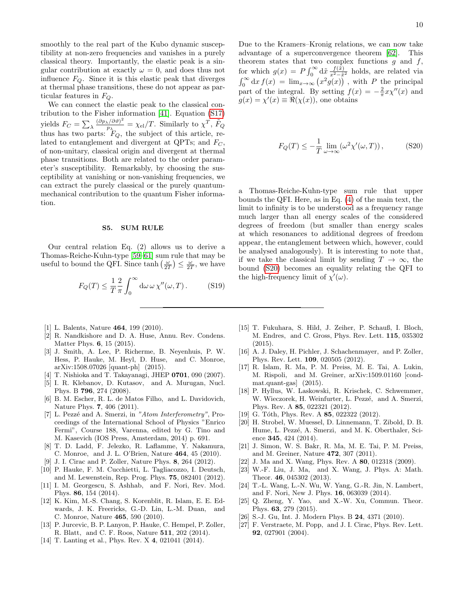smoothly to the real part of the Kubo dynamic susceptibility at non-zero frequencies and vanishes in a purely classical theory. Importantly, the elastic peak is a singular contribution at exactly  $\omega = 0$ , and does thus not influence  $F_Q$ . Since it is this elastic peak that diverges at thermal phase transitions, these do not appear as particular features in  $F_Q$ .

We can connect the elastic peak to the classical contribution to the Fisher information [\[41\]](#page-10-13). Equation [\(S17\)](#page-8-0) yields  $F_C = \sum_{\lambda} \frac{(\partial p_{\lambda}/\partial \vartheta)^2}{p_{\lambda}}$  $\frac{(\sqrt{\partial \vartheta})^2}{p_{\lambda}} = \chi_{\text{el}}/T$ . Similarly to  $\chi^T$ ,  $\tilde{F}_Q$ thus has two parts:  $F_Q$ , the subject of this article, related to entanglement and divergent at QPTs; and  $F<sub>C</sub>$ , of non-unitary, classical origin and divergent at thermal phase transitions. Both are related to the order parameter's susceptibility. Remarkably, by choosing the susceptibility at vanishing or non-vanishing frequencies, we can extract the purely classical or the purely quantummechanical contribution to the quantum Fisher information.

#### S5. SUM RULE

Our central relation Eq. (2) allows us to derive a Thomas-Reiche-Kuhn-type [\[59](#page-10-29)[–61\]](#page-10-30) sum rule that may be useful to bound the QFI. Since  $\tanh\left(\frac{\omega}{2T}\right) \leq \frac{\omega}{2T}$ , we have

$$
F_Q(T) \le \frac{1}{T} \frac{2}{\pi} \int_0^\infty d\omega \, \omega \, \chi''(\omega, T) \,. \tag{S19}
$$

- <span id="page-9-0"></span>[1] L. Balents, Nature 464, 199 (2010).
- <span id="page-9-1"></span>[2] R. Nandkishore and D. A. Huse, Annu. Rev. Condens. Matter Phys. 6, 15 (2015).
- <span id="page-9-2"></span>[3] J. Smith, A. Lee, P. Richerme, B. Neyenhuis, P. W. Hess, P. Hauke, M. Heyl, D. Huse, and C. Monroe, arXiv:1508.07026 [quant-ph] (2015).
- <span id="page-9-3"></span>[4] T. Nishioka and T. Takayanagi, JHEP 0701, 090 (2007).
- <span id="page-9-4"></span>[5] I. R. Klebanov, D. Kutasov, and A. Murugan, Nucl. Phys. B 796, 274 (2008).
- <span id="page-9-5"></span>[6] B. M. Escher, R. L. de Matos Filho, and L. Davidovich, Nature Phys. 7, 406 (2011).
- <span id="page-9-6"></span>[7] L. Pezzé and A. Smerzi, in "Atom Interferometry", Proceedings of the International School of Physics "Enrico Fermi", Course 188, Varenna, edited by G. Tino and M. Kasevich (IOS Press, Amsterdam, 2014) p. 691.
- <span id="page-9-7"></span>[8] T. D. Ladd, F. Jelezko, R. Laflamme, Y. Nakamura, C. Monroe, and J. L. O'Brien, Nature 464, 45 (2010).
- <span id="page-9-21"></span>[9] J. I. Cirac and P. Zoller, Nature Phys. 8, 264 (2012).
- [10] P. Hauke, F. M. Cucchietti, L. Tagliacozzo, I. Deutsch, and M. Lewenstein, Rep. Prog. Phys. 75, 082401 (2012).
- <span id="page-9-8"></span>[11] I. M. Georgescu, S. Ashhab, and F. Nori, Rev. Mod. Phys. 86, 154 (2014).
- <span id="page-9-9"></span>[12] K. Kim, M.-S. Chang, S. Korenblit, R. Islam, E. E. Edwards, J. K. Freericks, G.-D. Lin, L.-M. Duan, and C. Monroe, Nature 465, 590 (2010).
- [13] P. Jurcevic, B. P. Lanyon, P. Hauke, C. Hempel, P. Zoller, R. Blatt, and C. F. Roos, Nature 511, 202 (2014).
- [14] T. Lanting et al., Phys. Rev. X 4, 021041 (2014).

Due to the Kramers–Kronig relations, we can now take advantage of a superconvergence theorem [\[62\]](#page-10-31). This theorem states that two complex functions  $g$  and  $f$ , for which  $g(x) = P \int_0^\infty d\tilde{x} \frac{f(\tilde{x})}{x^2 - \tilde{x}^2}$  holds, are related via  $\int_0^\infty dx f(x) = \lim_{x\to\infty} (x^2 g(x))$ , with P the principal part of the integral. By setting  $f(x) = -\frac{2}{\pi} x x''(x)$  and  $g(x) = \chi'(x) \equiv \Re(\chi(x))$ , one obtains

<span id="page-9-22"></span>
$$
F_Q(T) \le -\frac{1}{T} \lim_{\omega \to \infty} (\omega^2 \chi'(\omega, T)), \tag{S20}
$$

a Thomas-Reiche-Kuhn-type sum rule that upper bounds the QFI. Here, as in Eq. [\(4\)](#page-1-0) of the main text, the limit to infinity is to be understood as a frequency range much larger than all energy scales of the considered degrees of freedom (but smaller than energy scales at which resonances to additional degrees of freedom appear, the entanglement between which, however, could be analysed analogously). It is interesting to note that, if we take the classical limit by sending  $T \to \infty$ , the bound [\(S20\)](#page-9-22) becomes an equality relating the QFI to the high-frequency limit of  $\chi'(\omega)$ .

- <span id="page-9-10"></span>[15] T. Fukuhara, S. Hild, J. Zeiher, P. Schauß, I. Bloch, M. Endres, and C. Gross, Phys. Rev. Lett. 115, 035302 (2015).
- <span id="page-9-11"></span>[16] A. J. Daley, H. Pichler, J. Schachenmayer, and P. Zoller, Phys. Rev. Lett. 109, 020505 (2012).
- <span id="page-9-12"></span>[17] R. Islam, R. Ma, P. M. Preiss, M. E. Tai, A. Lukin, M. Rispoli, and M. Greiner, arXiv:1509.01160 [condmat.quant-gas] (2015).
- <span id="page-9-13"></span>[18] P. Hyllus, W. Laskowski, R. Krischek, C. Schwemmer, W. Wieczorek, H. Weinfurter, L. Pezzé, and A. Smerzi, Phys. Rev. A 85, 022321 (2012).
- <span id="page-9-20"></span>[19] G. Tóth, Phys. Rev. A  $85$ , 022322 (2012).
- <span id="page-9-14"></span>[20] H. Strobel, W. Muessel, D. Linnemann, T. Zibold, D. B. Hume, L. Pezzé, A. Smerzi, and M. K. Oberthaler, Science 345, 424 (2014).
- <span id="page-9-15"></span>[21] J. Simon, W. S. Bakr, R. Ma, M. E. Tai, P. M. Preiss, and M. Greiner, Nature 472, 307 (2011).
- <span id="page-9-16"></span>[22] J. Ma and X. Wang, Phys. Rev. A 80, 012318 (2009).
- [23] W.-F. Liu, J. Ma, and X. Wang, J. Phys. A: Math. Theor. 46, 045302 (2013).
- [24] T.-L. Wang, L.-N. Wu, W. Yang, G.-R. Jin, N. Lambert, and F. Nori, New J. Phys. 16, 063039 (2014).
- <span id="page-9-17"></span>[25] Q. Zheng, Y. Yao, and X.-W. Xu, Commun. Theor. Phys. 63, 279 (2015).
- <span id="page-9-18"></span>[26] S.-J. Gu, Int. J. Modern Phys. B 24, 4371 (2010).
- <span id="page-9-19"></span>[27] F. Verstraete, M. Popp, and J. I. Cirac, Phys. Rev. Lett. 92, 027901 (2004).